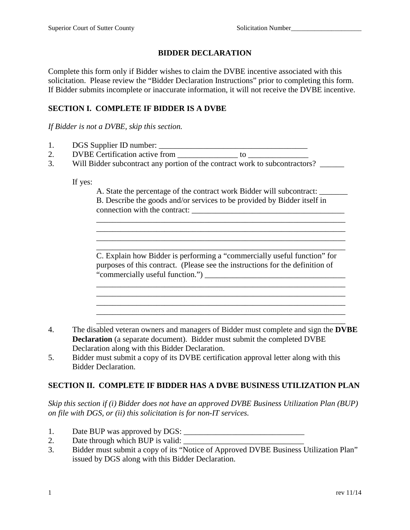## **BIDDER DECLARATION**

Complete this form only if Bidder wishes to claim the DVBE incentive associated with this solicitation. Please review the "Bidder Declaration Instructions" prior to completing this form. If Bidder submits incomplete or inaccurate information, it will not receive the DVBE incentive.

## **SECTION I. COMPLETE IF BIDDER IS A DVBE**

*If Bidder is not a DVBE, skip this section.*

- 1. DGS Supplier ID number: \_\_\_\_\_\_\_\_\_\_\_\_\_\_\_\_\_\_\_\_\_\_\_\_\_\_\_\_\_\_\_\_\_\_\_\_\_
- 2. DVBE Certification active from to  $\sim$
- 3. Will Bidder subcontract any portion of the contract work to subcontractors?

If yes:

A. State the percentage of the contract work Bidder will subcontract: \_\_\_\_\_\_\_ B. Describe the goods and/or services to be provided by Bidder itself in connection with the contract:

\_\_\_\_\_\_\_\_\_\_\_\_\_\_\_\_\_\_\_\_\_\_\_\_\_\_\_\_\_\_\_\_\_\_\_\_\_\_\_\_\_\_\_\_\_\_\_\_\_\_\_\_\_\_\_\_\_\_\_\_\_\_

 $\mathcal{L}_\text{max} = \mathcal{L}_\text{max} = \mathcal{L}_\text{max} = \mathcal{L}_\text{max} = \mathcal{L}_\text{max} = \mathcal{L}_\text{max} = \mathcal{L}_\text{max} = \mathcal{L}_\text{max} = \mathcal{L}_\text{max} = \mathcal{L}_\text{max} = \mathcal{L}_\text{max} = \mathcal{L}_\text{max} = \mathcal{L}_\text{max} = \mathcal{L}_\text{max} = \mathcal{L}_\text{max} = \mathcal{L}_\text{max} = \mathcal{L}_\text{max} = \mathcal{L}_\text{max} = \mathcal{$ 

C. Explain how Bidder is performing a "commercially useful function" for purposes of this contract. (Please see the instructions for the definition of "commercially useful function.") \_\_\_\_\_\_\_\_\_\_\_\_\_\_\_\_\_\_\_\_\_\_\_\_\_\_\_\_\_\_\_\_\_\_\_

\_\_\_\_\_\_\_\_\_\_\_\_\_\_\_\_\_\_\_\_\_\_\_\_\_\_\_\_\_\_\_\_\_\_\_\_\_\_\_\_\_\_\_\_\_\_\_\_\_\_\_\_\_\_\_\_\_\_\_\_\_\_ \_\_\_\_\_\_\_\_\_\_\_\_\_\_\_\_\_\_\_\_\_\_\_\_\_\_\_\_\_\_\_\_\_\_\_\_\_\_\_\_\_\_\_\_\_\_\_\_\_\_\_\_\_\_\_\_\_\_\_\_\_\_

\_\_\_\_\_\_\_\_\_\_\_\_\_\_\_\_\_\_\_\_\_\_\_\_\_\_\_\_\_\_\_\_\_\_\_\_\_\_\_\_\_\_\_\_\_\_\_\_\_\_\_\_\_\_\_\_\_\_\_\_\_\_

4. The disabled veteran owners and managers of Bidder must complete and sign the **DVBE Declaration** (a separate document). Bidder must submit the completed DVBE Declaration along with this Bidder Declaration.

\_\_\_\_\_\_\_\_\_\_\_\_\_\_\_\_\_\_\_\_\_\_\_\_\_\_\_\_\_\_\_\_\_\_\_\_\_\_\_\_\_\_\_\_\_\_\_\_\_\_\_\_\_\_\_\_\_\_\_\_\_\_

5. Bidder must submit a copy of its DVBE certification approval letter along with this Bidder Declaration.

## **SECTION II. COMPLETE IF BIDDER HAS A DVBE BUSINESS UTILIZATION PLAN**

*Skip this section if (i) Bidder does not have an approved DVBE Business Utilization Plan (BUP) on file with DGS, or (ii) this solicitation is for non-IT services.*

- 1. Date BUP was approved by DGS: \_\_\_\_\_\_\_\_\_\_\_\_\_\_\_\_\_\_\_\_\_\_\_\_\_\_\_\_\_\_
- 2. Date through which BUP is valid: \_\_\_\_\_\_\_\_\_\_\_\_\_\_\_\_\_\_\_\_\_\_\_\_\_\_\_\_\_\_
- 3. Bidder must submit a copy of its "Notice of Approved DVBE Business Utilization Plan" issued by DGS along with this Bidder Declaration.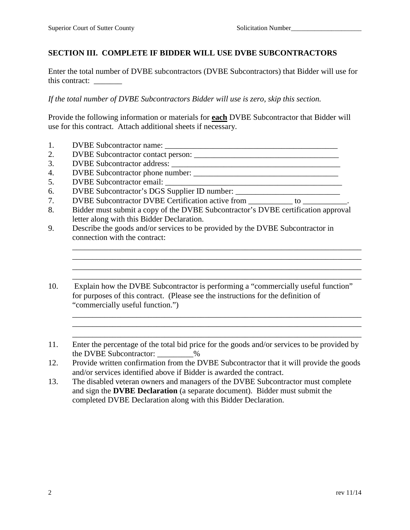## **SECTION III. COMPLETE IF BIDDER WILL USE DVBE SUBCONTRACTORS**

Enter the total number of DVBE subcontractors (DVBE Subcontractors) that Bidder will use for this contract: \_\_\_\_\_\_\_

*If the total number of DVBE Subcontractors Bidder will use is zero, skip this section.* 

Provide the following information or materials for **each** DVBE Subcontractor that Bidder will use for this contract. Attach additional sheets if necessary.

- 1. DVBE Subcontractor name: \_\_\_\_\_\_\_\_\_\_\_\_\_\_\_\_\_\_\_\_\_\_\_\_\_\_\_\_\_\_\_\_\_\_\_\_\_\_\_\_\_\_\_
- 2. DVBE Subcontractor contact person: \_\_\_\_\_\_\_\_\_\_\_\_\_\_\_\_\_\_\_\_\_\_\_\_\_\_\_\_\_\_\_\_\_\_\_\_
- 3. DVBE Subcontractor address: \_\_\_\_\_\_\_\_\_\_\_\_\_\_\_\_\_\_\_\_\_\_\_\_\_\_\_\_\_\_\_\_\_\_\_\_\_\_\_\_\_\_
- 4. DVBE Subcontractor phone number: \_\_\_\_\_\_\_\_\_\_\_\_\_\_\_\_\_\_\_\_\_\_\_\_\_\_\_\_\_\_\_\_\_\_\_\_
- 5. DVBE Subcontractor email: \_\_\_\_\_\_\_\_\_\_\_\_\_\_\_\_\_\_\_\_\_\_\_\_\_\_\_\_\_\_\_\_\_\_\_\_\_\_\_\_\_\_\_\_
- 6. DVBE Subcontractor's DGS Supplier ID number: \_\_\_\_\_\_\_\_\_\_\_\_\_\_\_\_\_\_\_\_\_\_\_\_\_\_
- 7. DVBE Subcontractor DVBE Certification active from to  $\sim$
- 8. Bidder must submit a copy of the DVBE Subcontractor's DVBE certification approval letter along with this Bidder Declaration.

\_\_\_\_\_\_\_\_\_\_\_\_\_\_\_\_\_\_\_\_\_\_\_\_\_\_\_\_\_\_\_\_\_\_\_\_\_\_\_\_\_\_\_\_\_\_\_\_\_\_\_\_\_\_\_\_\_\_\_\_\_\_\_\_\_\_\_\_\_\_\_\_ \_\_\_\_\_\_\_\_\_\_\_\_\_\_\_\_\_\_\_\_\_\_\_\_\_\_\_\_\_\_\_\_\_\_\_\_\_\_\_\_\_\_\_\_\_\_\_\_\_\_\_\_\_\_\_\_\_\_\_\_\_\_\_\_\_\_\_\_\_\_\_\_ \_\_\_\_\_\_\_\_\_\_\_\_\_\_\_\_\_\_\_\_\_\_\_\_\_\_\_\_\_\_\_\_\_\_\_\_\_\_\_\_\_\_\_\_\_\_\_\_\_\_\_\_\_\_\_\_\_\_\_\_\_\_\_\_\_\_\_\_\_\_\_\_ \_\_\_\_\_\_\_\_\_\_\_\_\_\_\_\_\_\_\_\_\_\_\_\_\_\_\_\_\_\_\_\_\_\_\_\_\_\_\_\_\_\_\_\_\_\_\_\_\_\_\_\_\_\_\_\_\_\_\_\_\_\_\_\_\_\_\_\_\_\_\_\_

\_\_\_\_\_\_\_\_\_\_\_\_\_\_\_\_\_\_\_\_\_\_\_\_\_\_\_\_\_\_\_\_\_\_\_\_\_\_\_\_\_\_\_\_\_\_\_\_\_\_\_\_\_\_\_\_\_\_\_\_\_\_\_\_\_\_\_\_\_\_\_\_ \_\_\_\_\_\_\_\_\_\_\_\_\_\_\_\_\_\_\_\_\_\_\_\_\_\_\_\_\_\_\_\_\_\_\_\_\_\_\_\_\_\_\_\_\_\_\_\_\_\_\_\_\_\_\_\_\_\_\_\_\_\_\_\_\_\_\_\_\_\_\_\_ \_\_\_\_\_\_\_\_\_\_\_\_\_\_\_\_\_\_\_\_\_\_\_\_\_\_\_\_\_\_\_\_\_\_\_\_\_\_\_\_\_\_\_\_\_\_\_\_\_\_\_\_\_\_\_\_\_\_\_\_\_\_\_\_\_\_\_\_\_\_\_\_

- 9. Describe the goods and/or services to be provided by the DVBE Subcontractor in connection with the contract:
- 10. Explain how the DVBE Subcontractor is performing a "commercially useful function" for purposes of this contract. (Please see the instructions for the definition of "commercially useful function.")
- 11. Enter the percentage of the total bid price for the goods and/or services to be provided by the DVBE Subcontractor: \_\_\_\_\_\_\_\_\_%
- 12. Provide written confirmation from the DVBE Subcontractor that it will provide the goods and/or services identified above if Bidder is awarded the contract.
- 13. The disabled veteran owners and managers of the DVBE Subcontractor must complete and sign the **DVBE Declaration** (a separate document). Bidder must submit the completed DVBE Declaration along with this Bidder Declaration.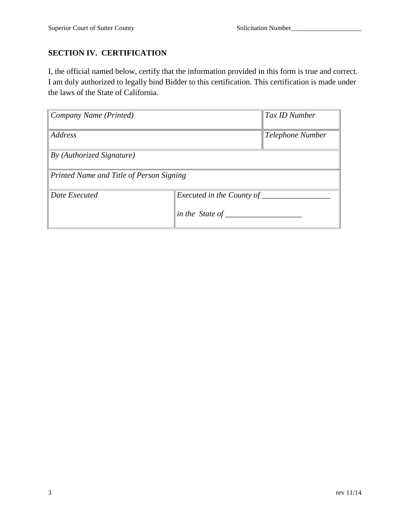# **SECTION IV. CERTIFICATION**

I, the official named below, certify that the information provided in this form is true and correct. I am duly authorized to legally bind Bidder to this certification. This certification is made under the laws of the State of California.

| Company Name (Printed)                   |                                              | Tax ID Number    |
|------------------------------------------|----------------------------------------------|------------------|
| <b>Address</b>                           |                                              | Telephone Number |
| By (Authorized Signature)                |                                              |                  |
| Printed Name and Title of Person Signing |                                              |                  |
| Date Executed                            | Executed in the County of<br>in the State of |                  |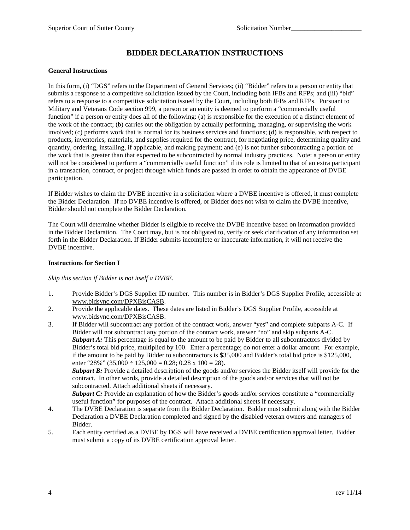## **BIDDER DECLARATION INSTRUCTIONS**

#### **General Instructions**

In this form, (i) "DGS" refers to the Department of General Services; (ii) "Bidder" refers to a person or entity that submits a response to a competitive solicitation issued by the Court, including both IFBs and RFPs; and (iii) "bid" refers to a response to a competitive solicitation issued by the Court, including both IFBs and RFPs. Pursuant to Military and Veterans Code section 999, a person or an entity is deemed to perform a "commercially useful function" if a person or entity does all of the following: (a) is responsible for the execution of a distinct element of the work of the contract; (b) carries out the obligation by actually performing, managing, or supervising the work involved; (c) performs work that is normal for its business services and functions; (d) is responsible, with respect to products, inventories, materials, and supplies required for the contract, for negotiating price, determining quality and quantity, ordering, installing, if applicable, and making payment; and (e) is not further subcontracting a portion of the work that is greater than that expected to be subcontracted by normal industry practices. Note: a person or entity will not be considered to perform a "commercially useful function" if its role is limited to that of an extra participant in a transaction, contract, or project through which funds are passed in order to obtain the appearance of DVBE participation.

If Bidder wishes to claim the DVBE incentive in a solicitation where a DVBE incentive is offered, it must complete the Bidder Declaration. If no DVBE incentive is offered, or Bidder does not wish to claim the DVBE incentive, Bidder should not complete the Bidder Declaration.

The Court will determine whether Bidder is eligible to receive the DVBE incentive based on information provided in the Bidder Declaration. The Court may, but is not obligated to, verify or seek clarification of any information set forth in the Bidder Declaration. If Bidder submits incomplete or inaccurate information, it will not receive the DVBE incentive.

#### **Instructions for Section I**

*Skip this section if Bidder is not itself a DVBE.*

- 1. Provide Bidder's DGS Supplier ID number. This number is in Bidder's DGS Supplier Profile, accessible at www.bidsync.com/DPXBisCASB.
- 2. Provide the applicable dates. These dates are listed in Bidder's DGS Supplier Profile, accessible at www.bidsync.com/DPXBisCASB.
- 3. If Bidder will subcontract any portion of the contract work, answer "yes" and complete subparts A-C. If Bidder will not subcontract any portion of the contract work, answer "no" and skip subparts A-C. **Subpart A:** This percentage is equal to the amount to be paid by Bidder to all subcontractors divided by Bidder's total bid price, multiplied by 100. Enter a percentage; do not enter a dollar amount. For example, if the amount to be paid by Bidder to subcontractors is \$35,000 and Bidder's total bid price is \$125,000, enter "28%" (35,000  $\div$  125,000 = 0.28; 0.28 x 100 = 28).

*Subpart B:* Provide a detailed description of the goods and/or services the Bidder itself will provide for the contract. In other words, provide a detailed description of the goods and/or services that will not be subcontracted. Attach additional sheets if necessary.

**Subpart C:** Provide an explanation of how the Bidder's goods and/or services constitute a "commercially useful function" for purposes of the contract. Attach additional sheets if necessary.

- 4. The DVBE Declaration is separate from the Bidder Declaration. Bidder must submit along with the Bidder Declaration a DVBE Declaration completed and signed by the disabled veteran owners and managers of Bidder.
- 5. Each entity certified as a DVBE by DGS will have received a DVBE certification approval letter. Bidder must submit a copy of its DVBE certification approval letter.